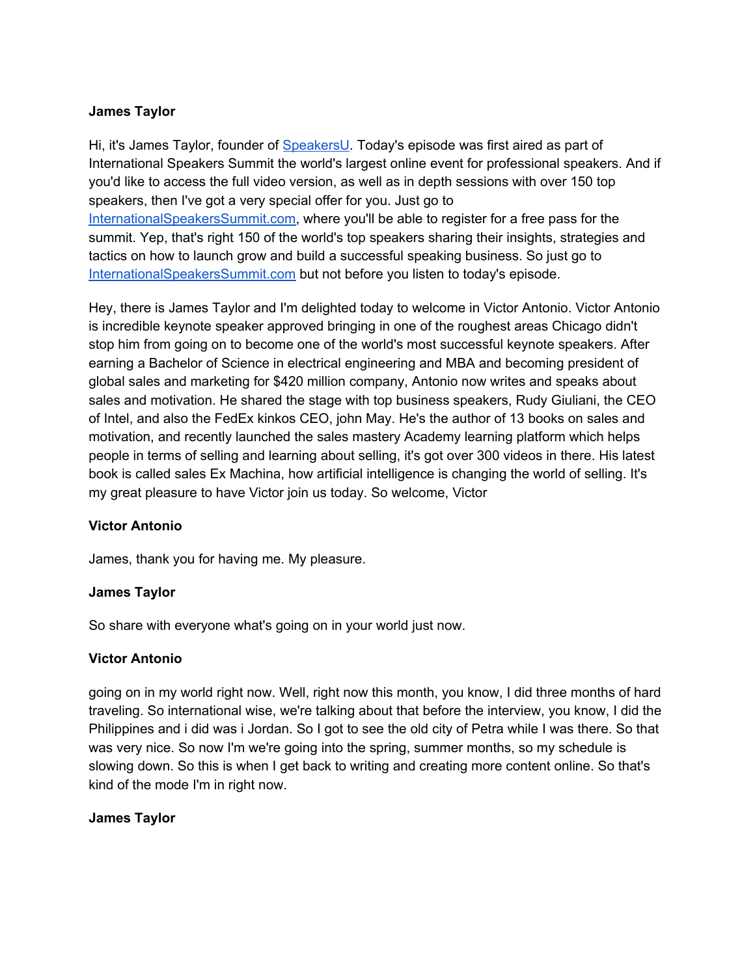### **James Taylor**

Hi, it's James Taylor, founder of [SpeakersU.](https://speakersu.com/) Today's episode was first aired as part of International Speakers Summit the world's largest online event for professional speakers. And if you'd like to access the full video version, as well as in depth sessions with over 150 top speakers, then I've got a very special offer for you. Just go to [InternationalSpeakersSummit.com](http://internationalspeakerssummit.com/), where you'll be able to register for a free pass for the summit. Yep, that's right 150 of the world's top speakers sharing their insights, strategies and tactics on how to launch grow and build a successful speaking business. So just go t[o](http://internationalspeakerssummit.com/) [InternationalSpeakersSummit.com](http://internationalspeakerssummit.com/) but not before you listen to today's episode.

Hey, there is James Taylor and I'm delighted today to welcome in Victor Antonio. Victor Antonio is incredible keynote speaker approved bringing in one of the roughest areas Chicago didn't stop him from going on to become one of the world's most successful keynote speakers. After earning a Bachelor of Science in electrical engineering and MBA and becoming president of global sales and marketing for \$420 million company, Antonio now writes and speaks about sales and motivation. He shared the stage with top business speakers, Rudy Giuliani, the CEO of Intel, and also the FedEx kinkos CEO, john May. He's the author of 13 books on sales and motivation, and recently launched the sales mastery Academy learning platform which helps people in terms of selling and learning about selling, it's got over 300 videos in there. His latest book is called sales Ex Machina, how artificial intelligence is changing the world of selling. It's my great pleasure to have Victor join us today. So welcome, Victor

### **Victor Antonio**

James, thank you for having me. My pleasure.

### **James Taylor**

So share with everyone what's going on in your world just now.

### **Victor Antonio**

going on in my world right now. Well, right now this month, you know, I did three months of hard traveling. So international wise, we're talking about that before the interview, you know, I did the Philippines and i did was i Jordan. So I got to see the old city of Petra while I was there. So that was very nice. So now I'm we're going into the spring, summer months, so my schedule is slowing down. So this is when I get back to writing and creating more content online. So that's kind of the mode I'm in right now.

# **James Taylor**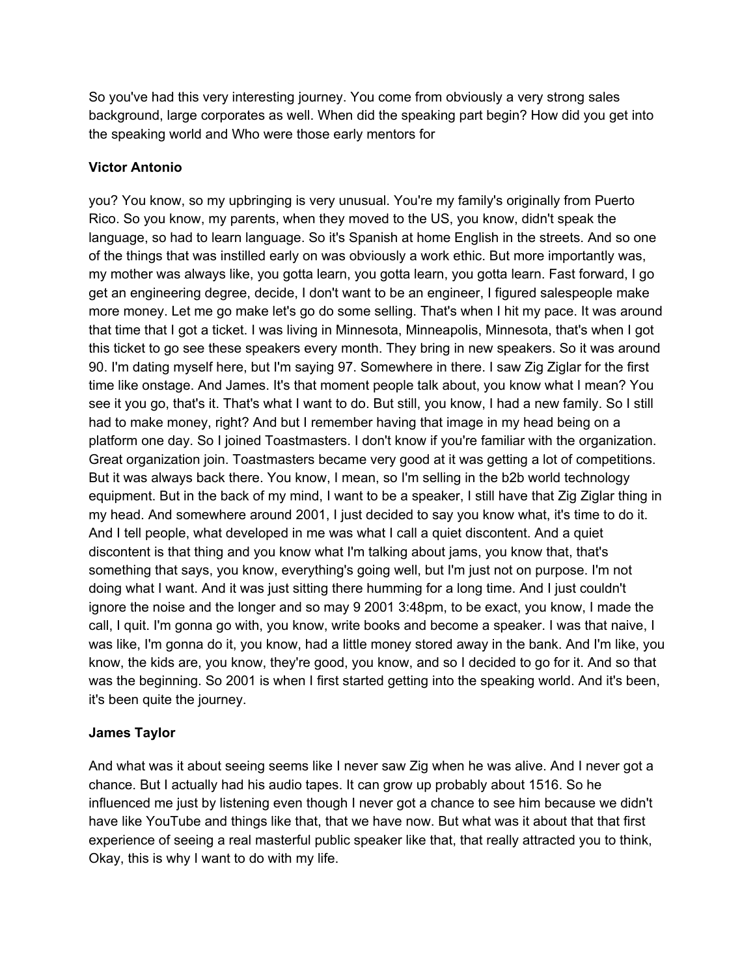So you've had this very interesting journey. You come from obviously a very strong sales background, large corporates as well. When did the speaking part begin? How did you get into the speaking world and Who were those early mentors for

# **Victor Antonio**

you? You know, so my upbringing is very unusual. You're my family's originally from Puerto Rico. So you know, my parents, when they moved to the US, you know, didn't speak the language, so had to learn language. So it's Spanish at home English in the streets. And so one of the things that was instilled early on was obviously a work ethic. But more importantly was, my mother was always like, you gotta learn, you gotta learn, you gotta learn. Fast forward, I go get an engineering degree, decide, I don't want to be an engineer, I figured salespeople make more money. Let me go make let's go do some selling. That's when I hit my pace. It was around that time that I got a ticket. I was living in Minnesota, Minneapolis, Minnesota, that's when I got this ticket to go see these speakers every month. They bring in new speakers. So it was around 90. I'm dating myself here, but I'm saying 97. Somewhere in there. I saw Zig Ziglar for the first time like onstage. And James. It's that moment people talk about, you know what I mean? You see it you go, that's it. That's what I want to do. But still, you know, I had a new family. So I still had to make money, right? And but I remember having that image in my head being on a platform one day. So I joined Toastmasters. I don't know if you're familiar with the organization. Great organization join. Toastmasters became very good at it was getting a lot of competitions. But it was always back there. You know, I mean, so I'm selling in the b2b world technology equipment. But in the back of my mind, I want to be a speaker, I still have that Zig Ziglar thing in my head. And somewhere around 2001, I just decided to say you know what, it's time to do it. And I tell people, what developed in me was what I call a quiet discontent. And a quiet discontent is that thing and you know what I'm talking about jams, you know that, that's something that says, you know, everything's going well, but I'm just not on purpose. I'm not doing what I want. And it was just sitting there humming for a long time. And I just couldn't ignore the noise and the longer and so may 9 2001 3:48pm, to be exact, you know, I made the call, I quit. I'm gonna go with, you know, write books and become a speaker. I was that naive, I was like, I'm gonna do it, you know, had a little money stored away in the bank. And I'm like, you know, the kids are, you know, they're good, you know, and so I decided to go for it. And so that was the beginning. So 2001 is when I first started getting into the speaking world. And it's been, it's been quite the journey.

# **James Taylor**

And what was it about seeing seems like I never saw Zig when he was alive. And I never got a chance. But I actually had his audio tapes. It can grow up probably about 1516. So he influenced me just by listening even though I never got a chance to see him because we didn't have like YouTube and things like that, that we have now. But what was it about that that first experience of seeing a real masterful public speaker like that, that really attracted you to think, Okay, this is why I want to do with my life.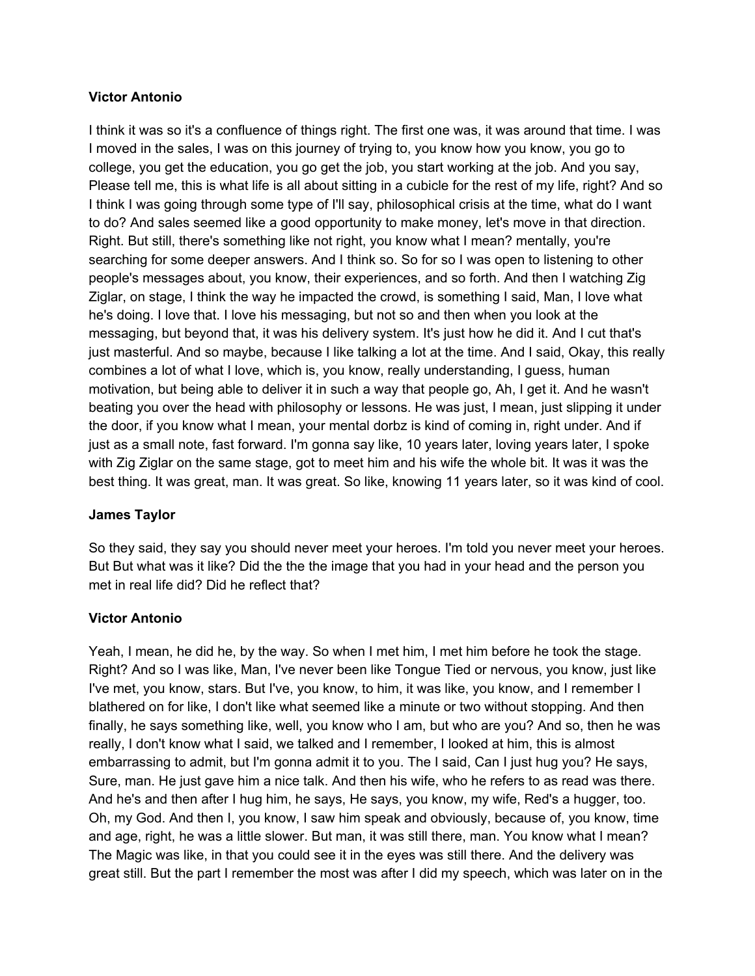### **Victor Antonio**

I think it was so it's a confluence of things right. The first one was, it was around that time. I was I moved in the sales, I was on this journey of trying to, you know how you know, you go to college, you get the education, you go get the job, you start working at the job. And you say, Please tell me, this is what life is all about sitting in a cubicle for the rest of my life, right? And so I think I was going through some type of I'll say, philosophical crisis at the time, what do I want to do? And sales seemed like a good opportunity to make money, let's move in that direction. Right. But still, there's something like not right, you know what I mean? mentally, you're searching for some deeper answers. And I think so. So for so I was open to listening to other people's messages about, you know, their experiences, and so forth. And then I watching Zig Ziglar, on stage, I think the way he impacted the crowd, is something I said, Man, I love what he's doing. I love that. I love his messaging, but not so and then when you look at the messaging, but beyond that, it was his delivery system. It's just how he did it. And I cut that's just masterful. And so maybe, because I like talking a lot at the time. And I said, Okay, this really combines a lot of what I love, which is, you know, really understanding, I guess, human motivation, but being able to deliver it in such a way that people go, Ah, I get it. And he wasn't beating you over the head with philosophy or lessons. He was just, I mean, just slipping it under the door, if you know what I mean, your mental dorbz is kind of coming in, right under. And if just as a small note, fast forward. I'm gonna say like, 10 years later, loving years later, I spoke with Zig Ziglar on the same stage, got to meet him and his wife the whole bit. It was it was the best thing. It was great, man. It was great. So like, knowing 11 years later, so it was kind of cool.

### **James Taylor**

So they said, they say you should never meet your heroes. I'm told you never meet your heroes. But But what was it like? Did the the the image that you had in your head and the person you met in real life did? Did he reflect that?

### **Victor Antonio**

Yeah, I mean, he did he, by the way. So when I met him, I met him before he took the stage. Right? And so I was like, Man, I've never been like Tongue Tied or nervous, you know, just like I've met, you know, stars. But I've, you know, to him, it was like, you know, and I remember I blathered on for like, I don't like what seemed like a minute or two without stopping. And then finally, he says something like, well, you know who I am, but who are you? And so, then he was really, I don't know what I said, we talked and I remember, I looked at him, this is almost embarrassing to admit, but I'm gonna admit it to you. The I said, Can I just hug you? He says, Sure, man. He just gave him a nice talk. And then his wife, who he refers to as read was there. And he's and then after I hug him, he says, He says, you know, my wife, Red's a hugger, too. Oh, my God. And then I, you know, I saw him speak and obviously, because of, you know, time and age, right, he was a little slower. But man, it was still there, man. You know what I mean? The Magic was like, in that you could see it in the eyes was still there. And the delivery was great still. But the part I remember the most was after I did my speech, which was later on in the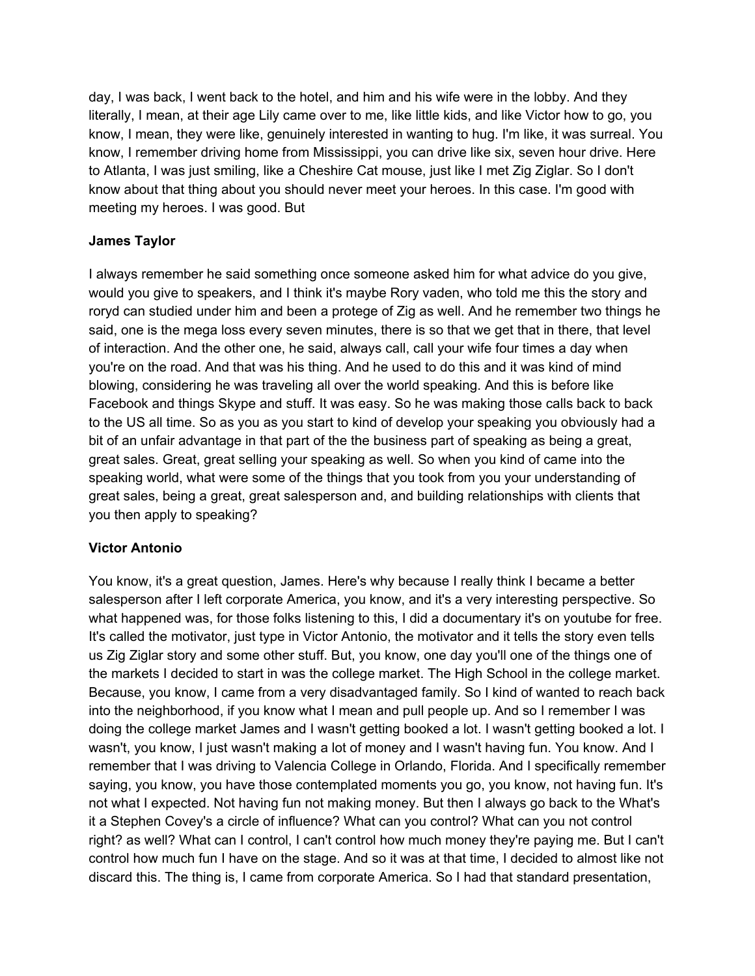day, I was back, I went back to the hotel, and him and his wife were in the lobby. And they literally, I mean, at their age Lily came over to me, like little kids, and like Victor how to go, you know, I mean, they were like, genuinely interested in wanting to hug. I'm like, it was surreal. You know, I remember driving home from Mississippi, you can drive like six, seven hour drive. Here to Atlanta, I was just smiling, like a Cheshire Cat mouse, just like I met Zig Ziglar. So I don't know about that thing about you should never meet your heroes. In this case. I'm good with meeting my heroes. I was good. But

# **James Taylor**

I always remember he said something once someone asked him for what advice do you give, would you give to speakers, and I think it's maybe Rory vaden, who told me this the story and roryd can studied under him and been a protege of Zig as well. And he remember two things he said, one is the mega loss every seven minutes, there is so that we get that in there, that level of interaction. And the other one, he said, always call, call your wife four times a day when you're on the road. And that was his thing. And he used to do this and it was kind of mind blowing, considering he was traveling all over the world speaking. And this is before like Facebook and things Skype and stuff. It was easy. So he was making those calls back to back to the US all time. So as you as you start to kind of develop your speaking you obviously had a bit of an unfair advantage in that part of the the business part of speaking as being a great, great sales. Great, great selling your speaking as well. So when you kind of came into the speaking world, what were some of the things that you took from you your understanding of great sales, being a great, great salesperson and, and building relationships with clients that you then apply to speaking?

### **Victor Antonio**

You know, it's a great question, James. Here's why because I really think I became a better salesperson after I left corporate America, you know, and it's a very interesting perspective. So what happened was, for those folks listening to this, I did a documentary it's on youtube for free. It's called the motivator, just type in Victor Antonio, the motivator and it tells the story even tells us Zig Ziglar story and some other stuff. But, you know, one day you'll one of the things one of the markets I decided to start in was the college market. The High School in the college market. Because, you know, I came from a very disadvantaged family. So I kind of wanted to reach back into the neighborhood, if you know what I mean and pull people up. And so I remember I was doing the college market James and I wasn't getting booked a lot. I wasn't getting booked a lot. I wasn't, you know, I just wasn't making a lot of money and I wasn't having fun. You know. And I remember that I was driving to Valencia College in Orlando, Florida. And I specifically remember saying, you know, you have those contemplated moments you go, you know, not having fun. It's not what I expected. Not having fun not making money. But then I always go back to the What's it a Stephen Covey's a circle of influence? What can you control? What can you not control right? as well? What can I control, I can't control how much money they're paying me. But I can't control how much fun I have on the stage. And so it was at that time, I decided to almost like not discard this. The thing is, I came from corporate America. So I had that standard presentation,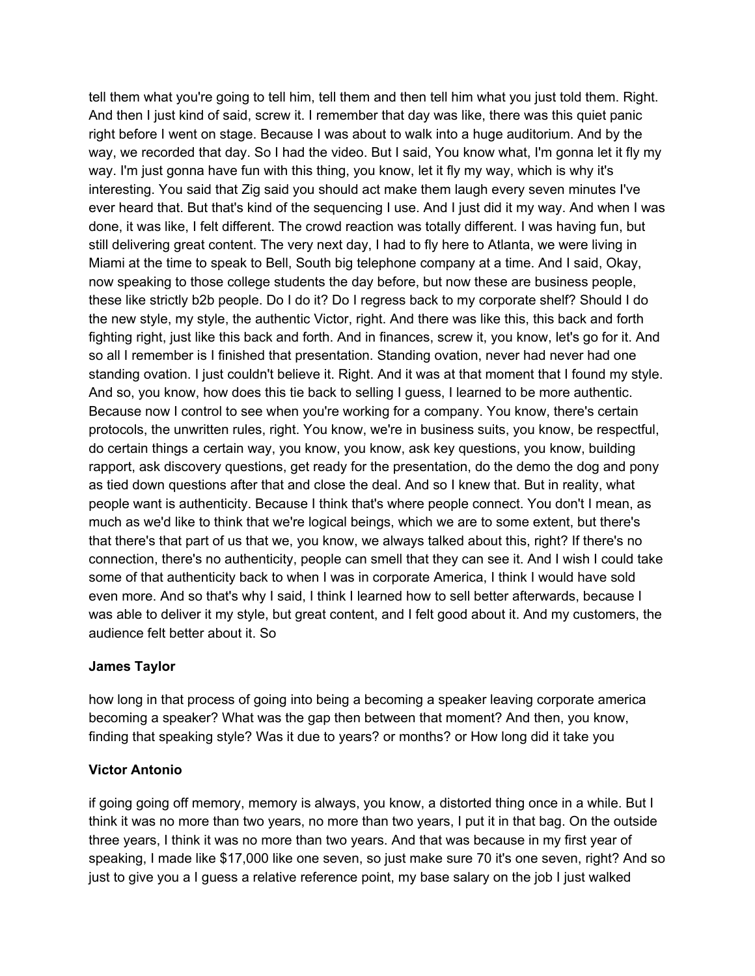tell them what you're going to tell him, tell them and then tell him what you just told them. Right. And then I just kind of said, screw it. I remember that day was like, there was this quiet panic right before I went on stage. Because I was about to walk into a huge auditorium. And by the way, we recorded that day. So I had the video. But I said, You know what, I'm gonna let it fly my way. I'm just gonna have fun with this thing, you know, let it fly my way, which is why it's interesting. You said that Zig said you should act make them laugh every seven minutes I've ever heard that. But that's kind of the sequencing I use. And I just did it my way. And when I was done, it was like, I felt different. The crowd reaction was totally different. I was having fun, but still delivering great content. The very next day, I had to fly here to Atlanta, we were living in Miami at the time to speak to Bell, South big telephone company at a time. And I said, Okay, now speaking to those college students the day before, but now these are business people, these like strictly b2b people. Do I do it? Do I regress back to my corporate shelf? Should I do the new style, my style, the authentic Victor, right. And there was like this, this back and forth fighting right, just like this back and forth. And in finances, screw it, you know, let's go for it. And so all I remember is I finished that presentation. Standing ovation, never had never had one standing ovation. I just couldn't believe it. Right. And it was at that moment that I found my style. And so, you know, how does this tie back to selling I guess, I learned to be more authentic. Because now I control to see when you're working for a company. You know, there's certain protocols, the unwritten rules, right. You know, we're in business suits, you know, be respectful, do certain things a certain way, you know, you know, ask key questions, you know, building rapport, ask discovery questions, get ready for the presentation, do the demo the dog and pony as tied down questions after that and close the deal. And so I knew that. But in reality, what people want is authenticity. Because I think that's where people connect. You don't I mean, as much as we'd like to think that we're logical beings, which we are to some extent, but there's that there's that part of us that we, you know, we always talked about this, right? If there's no connection, there's no authenticity, people can smell that they can see it. And I wish I could take some of that authenticity back to when I was in corporate America, I think I would have sold even more. And so that's why I said, I think I learned how to sell better afterwards, because I was able to deliver it my style, but great content, and I felt good about it. And my customers, the audience felt better about it. So

### **James Taylor**

how long in that process of going into being a becoming a speaker leaving corporate america becoming a speaker? What was the gap then between that moment? And then, you know, finding that speaking style? Was it due to years? or months? or How long did it take you

# **Victor Antonio**

if going going off memory, memory is always, you know, a distorted thing once in a while. But I think it was no more than two years, no more than two years, I put it in that bag. On the outside three years, I think it was no more than two years. And that was because in my first year of speaking, I made like \$17,000 like one seven, so just make sure 70 it's one seven, right? And so just to give you a I guess a relative reference point, my base salary on the job I just walked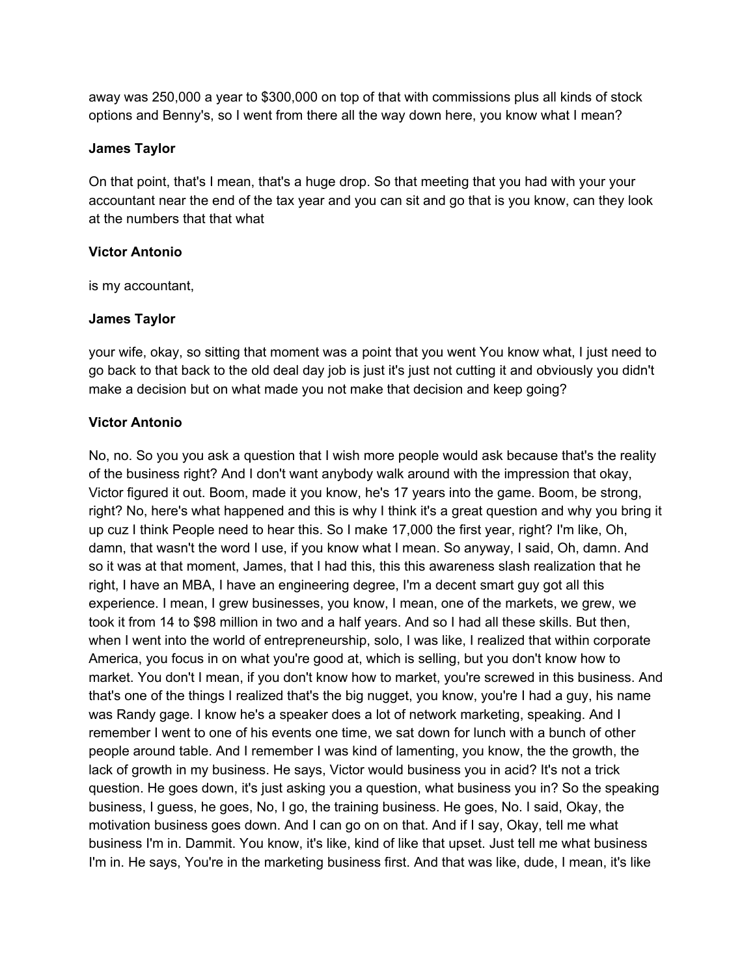away was 250,000 a year to \$300,000 on top of that with commissions plus all kinds of stock options and Benny's, so I went from there all the way down here, you know what I mean?

### **James Taylor**

On that point, that's I mean, that's a huge drop. So that meeting that you had with your your accountant near the end of the tax year and you can sit and go that is you know, can they look at the numbers that that what

### **Victor Antonio**

is my accountant,

### **James Taylor**

your wife, okay, so sitting that moment was a point that you went You know what, I just need to go back to that back to the old deal day job is just it's just not cutting it and obviously you didn't make a decision but on what made you not make that decision and keep going?

### **Victor Antonio**

No, no. So you you ask a question that I wish more people would ask because that's the reality of the business right? And I don't want anybody walk around with the impression that okay, Victor figured it out. Boom, made it you know, he's 17 years into the game. Boom, be strong, right? No, here's what happened and this is why I think it's a great question and why you bring it up cuz I think People need to hear this. So I make 17,000 the first year, right? I'm like, Oh, damn, that wasn't the word I use, if you know what I mean. So anyway, I said, Oh, damn. And so it was at that moment, James, that I had this, this this awareness slash realization that he right, I have an MBA, I have an engineering degree, I'm a decent smart guy got all this experience. I mean, I grew businesses, you know, I mean, one of the markets, we grew, we took it from 14 to \$98 million in two and a half years. And so I had all these skills. But then, when I went into the world of entrepreneurship, solo, I was like, I realized that within corporate America, you focus in on what you're good at, which is selling, but you don't know how to market. You don't I mean, if you don't know how to market, you're screwed in this business. And that's one of the things I realized that's the big nugget, you know, you're I had a guy, his name was Randy gage. I know he's a speaker does a lot of network marketing, speaking. And I remember I went to one of his events one time, we sat down for lunch with a bunch of other people around table. And I remember I was kind of lamenting, you know, the the growth, the lack of growth in my business. He says, Victor would business you in acid? It's not a trick question. He goes down, it's just asking you a question, what business you in? So the speaking business, I guess, he goes, No, I go, the training business. He goes, No. I said, Okay, the motivation business goes down. And I can go on on that. And if I say, Okay, tell me what business I'm in. Dammit. You know, it's like, kind of like that upset. Just tell me what business I'm in. He says, You're in the marketing business first. And that was like, dude, I mean, it's like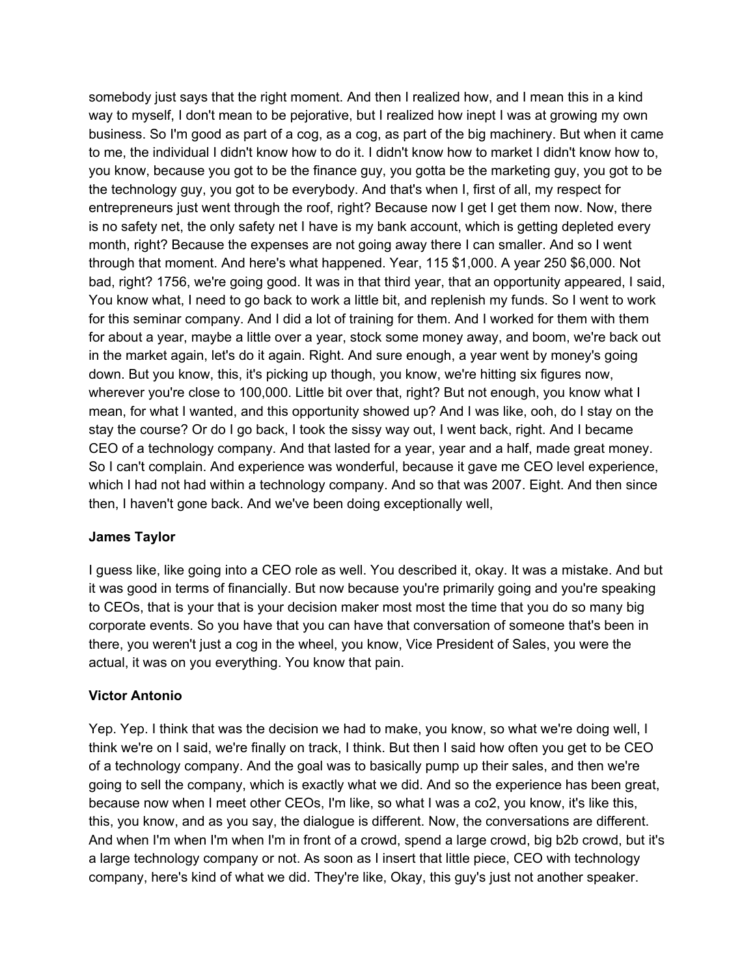somebody just says that the right moment. And then I realized how, and I mean this in a kind way to myself, I don't mean to be pejorative, but I realized how inept I was at growing my own business. So I'm good as part of a cog, as a cog, as part of the big machinery. But when it came to me, the individual I didn't know how to do it. I didn't know how to market I didn't know how to, you know, because you got to be the finance guy, you gotta be the marketing guy, you got to be the technology guy, you got to be everybody. And that's when I, first of all, my respect for entrepreneurs just went through the roof, right? Because now I get I get them now. Now, there is no safety net, the only safety net I have is my bank account, which is getting depleted every month, right? Because the expenses are not going away there I can smaller. And so I went through that moment. And here's what happened. Year, 115 \$1,000. A year 250 \$6,000. Not bad, right? 1756, we're going good. It was in that third year, that an opportunity appeared, I said, You know what, I need to go back to work a little bit, and replenish my funds. So I went to work for this seminar company. And I did a lot of training for them. And I worked for them with them for about a year, maybe a little over a year, stock some money away, and boom, we're back out in the market again, let's do it again. Right. And sure enough, a year went by money's going down. But you know, this, it's picking up though, you know, we're hitting six figures now, wherever you're close to 100,000. Little bit over that, right? But not enough, you know what I mean, for what I wanted, and this opportunity showed up? And I was like, ooh, do I stay on the stay the course? Or do I go back, I took the sissy way out, I went back, right. And I became CEO of a technology company. And that lasted for a year, year and a half, made great money. So I can't complain. And experience was wonderful, because it gave me CEO level experience, which I had not had within a technology company. And so that was 2007. Eight. And then since then, I haven't gone back. And we've been doing exceptionally well,

### **James Taylor**

I guess like, like going into a CEO role as well. You described it, okay. It was a mistake. And but it was good in terms of financially. But now because you're primarily going and you're speaking to CEOs, that is your that is your decision maker most most the time that you do so many big corporate events. So you have that you can have that conversation of someone that's been in there, you weren't just a cog in the wheel, you know, Vice President of Sales, you were the actual, it was on you everything. You know that pain.

### **Victor Antonio**

Yep. Yep. I think that was the decision we had to make, you know, so what we're doing well, I think we're on I said, we're finally on track, I think. But then I said how often you get to be CEO of a technology company. And the goal was to basically pump up their sales, and then we're going to sell the company, which is exactly what we did. And so the experience has been great, because now when I meet other CEOs, I'm like, so what I was a co2, you know, it's like this, this, you know, and as you say, the dialogue is different. Now, the conversations are different. And when I'm when I'm when I'm in front of a crowd, spend a large crowd, big b2b crowd, but it's a large technology company or not. As soon as I insert that little piece, CEO with technology company, here's kind of what we did. They're like, Okay, this guy's just not another speaker.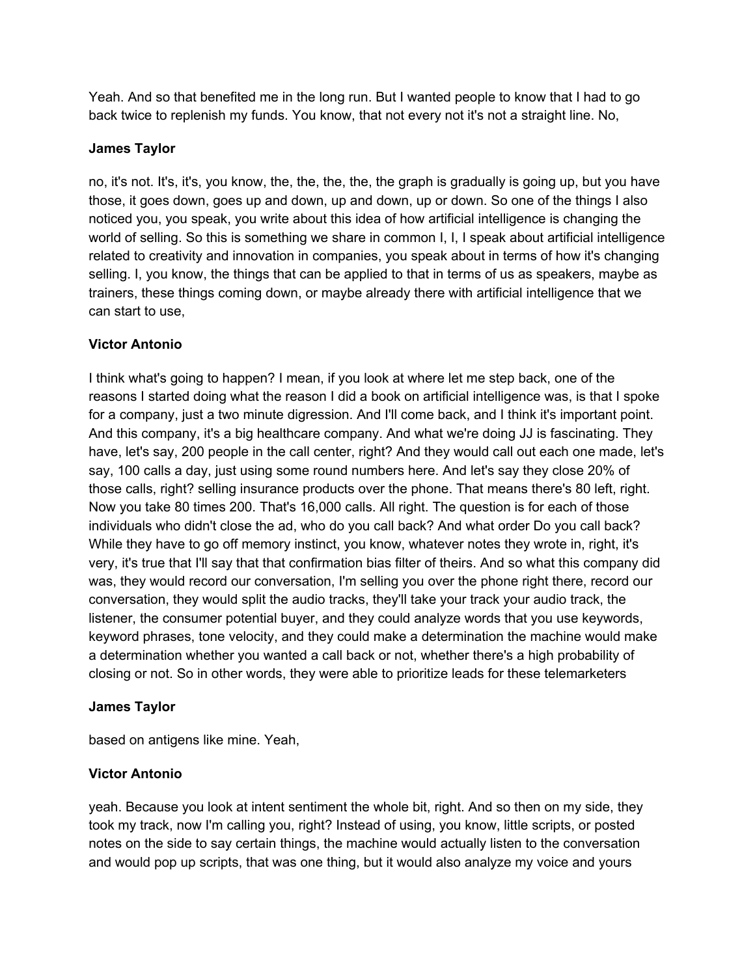Yeah. And so that benefited me in the long run. But I wanted people to know that I had to go back twice to replenish my funds. You know, that not every not it's not a straight line. No,

### **James Taylor**

no, it's not. It's, it's, you know, the, the, the, the, the graph is gradually is going up, but you have those, it goes down, goes up and down, up and down, up or down. So one of the things I also noticed you, you speak, you write about this idea of how artificial intelligence is changing the world of selling. So this is something we share in common I, I, I speak about artificial intelligence related to creativity and innovation in companies, you speak about in terms of how it's changing selling. I, you know, the things that can be applied to that in terms of us as speakers, maybe as trainers, these things coming down, or maybe already there with artificial intelligence that we can start to use,

# **Victor Antonio**

I think what's going to happen? I mean, if you look at where let me step back, one of the reasons I started doing what the reason I did a book on artificial intelligence was, is that I spoke for a company, just a two minute digression. And I'll come back, and I think it's important point. And this company, it's a big healthcare company. And what we're doing JJ is fascinating. They have, let's say, 200 people in the call center, right? And they would call out each one made, let's say, 100 calls a day, just using some round numbers here. And let's say they close 20% of those calls, right? selling insurance products over the phone. That means there's 80 left, right. Now you take 80 times 200. That's 16,000 calls. All right. The question is for each of those individuals who didn't close the ad, who do you call back? And what order Do you call back? While they have to go off memory instinct, you know, whatever notes they wrote in, right, it's very, it's true that I'll say that that confirmation bias filter of theirs. And so what this company did was, they would record our conversation, I'm selling you over the phone right there, record our conversation, they would split the audio tracks, they'll take your track your audio track, the listener, the consumer potential buyer, and they could analyze words that you use keywords, keyword phrases, tone velocity, and they could make a determination the machine would make a determination whether you wanted a call back or not, whether there's a high probability of closing or not. So in other words, they were able to prioritize leads for these telemarketers

# **James Taylor**

based on antigens like mine. Yeah,

# **Victor Antonio**

yeah. Because you look at intent sentiment the whole bit, right. And so then on my side, they took my track, now I'm calling you, right? Instead of using, you know, little scripts, or posted notes on the side to say certain things, the machine would actually listen to the conversation and would pop up scripts, that was one thing, but it would also analyze my voice and yours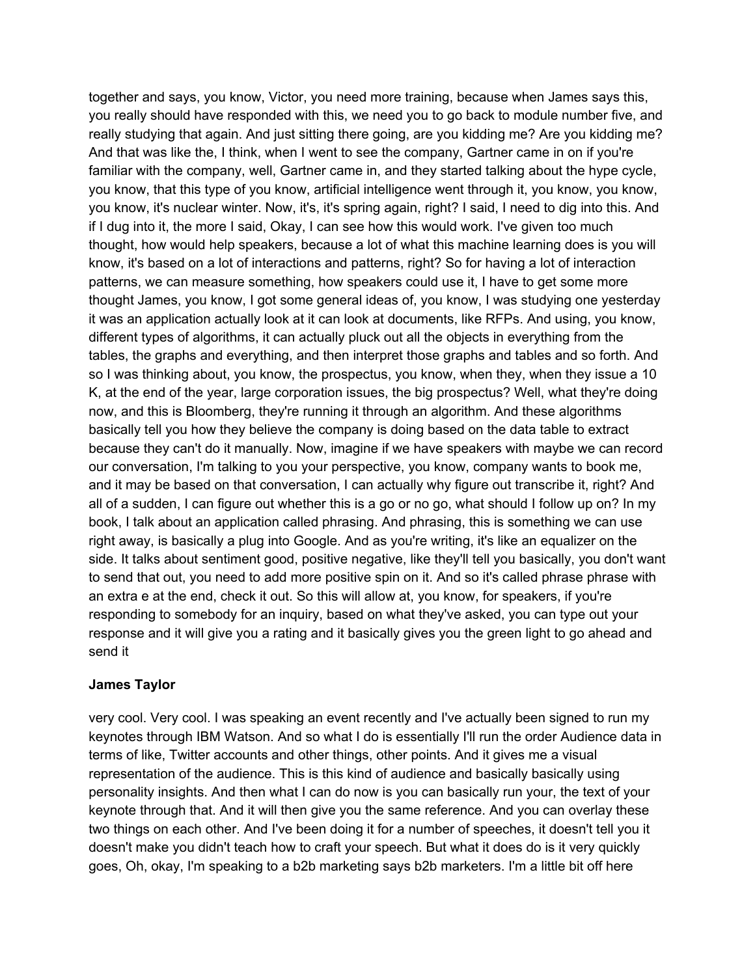together and says, you know, Victor, you need more training, because when James says this, you really should have responded with this, we need you to go back to module number five, and really studying that again. And just sitting there going, are you kidding me? Are you kidding me? And that was like the, I think, when I went to see the company, Gartner came in on if you're familiar with the company, well, Gartner came in, and they started talking about the hype cycle, you know, that this type of you know, artificial intelligence went through it, you know, you know, you know, it's nuclear winter. Now, it's, it's spring again, right? I said, I need to dig into this. And if I dug into it, the more I said, Okay, I can see how this would work. I've given too much thought, how would help speakers, because a lot of what this machine learning does is you will know, it's based on a lot of interactions and patterns, right? So for having a lot of interaction patterns, we can measure something, how speakers could use it, I have to get some more thought James, you know, I got some general ideas of, you know, I was studying one yesterday it was an application actually look at it can look at documents, like RFPs. And using, you know, different types of algorithms, it can actually pluck out all the objects in everything from the tables, the graphs and everything, and then interpret those graphs and tables and so forth. And so I was thinking about, you know, the prospectus, you know, when they, when they issue a 10 K, at the end of the year, large corporation issues, the big prospectus? Well, what they're doing now, and this is Bloomberg, they're running it through an algorithm. And these algorithms basically tell you how they believe the company is doing based on the data table to extract because they can't do it manually. Now, imagine if we have speakers with maybe we can record our conversation, I'm talking to you your perspective, you know, company wants to book me, and it may be based on that conversation, I can actually why figure out transcribe it, right? And all of a sudden, I can figure out whether this is a go or no go, what should I follow up on? In my book, I talk about an application called phrasing. And phrasing, this is something we can use right away, is basically a plug into Google. And as you're writing, it's like an equalizer on the side. It talks about sentiment good, positive negative, like they'll tell you basically, you don't want to send that out, you need to add more positive spin on it. And so it's called phrase phrase with an extra e at the end, check it out. So this will allow at, you know, for speakers, if you're responding to somebody for an inquiry, based on what they've asked, you can type out your response and it will give you a rating and it basically gives you the green light to go ahead and send it

# **James Taylor**

very cool. Very cool. I was speaking an event recently and I've actually been signed to run my keynotes through IBM Watson. And so what I do is essentially I'll run the order Audience data in terms of like, Twitter accounts and other things, other points. And it gives me a visual representation of the audience. This is this kind of audience and basically basically using personality insights. And then what I can do now is you can basically run your, the text of your keynote through that. And it will then give you the same reference. And you can overlay these two things on each other. And I've been doing it for a number of speeches, it doesn't tell you it doesn't make you didn't teach how to craft your speech. But what it does do is it very quickly goes, Oh, okay, I'm speaking to a b2b marketing says b2b marketers. I'm a little bit off here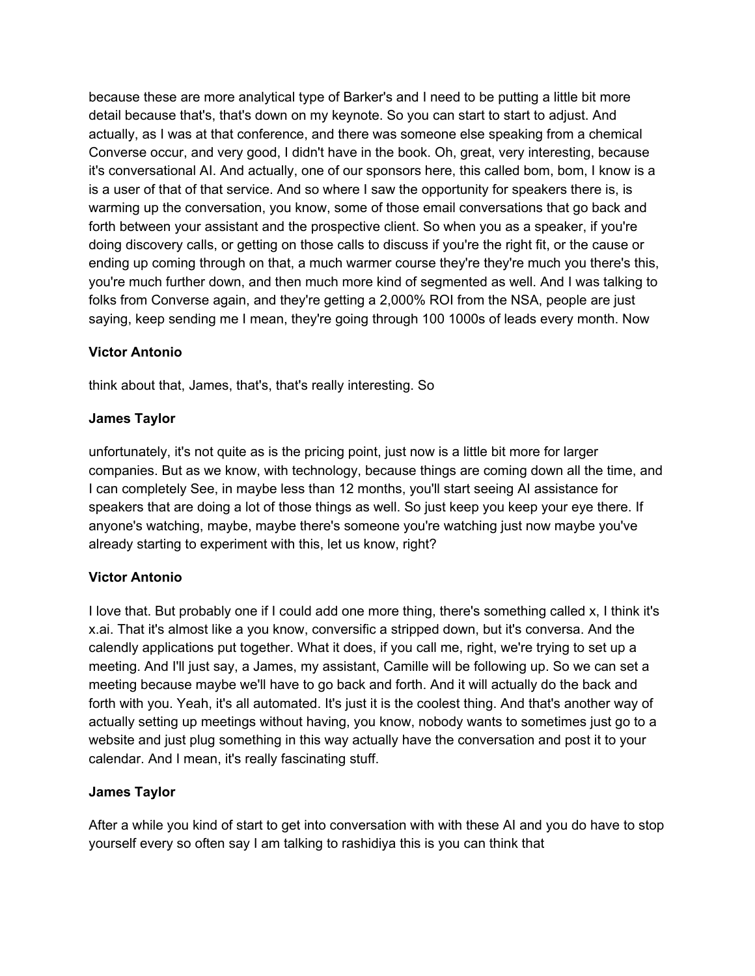because these are more analytical type of Barker's and I need to be putting a little bit more detail because that's, that's down on my keynote. So you can start to start to adjust. And actually, as I was at that conference, and there was someone else speaking from a chemical Converse occur, and very good, I didn't have in the book. Oh, great, very interesting, because it's conversational AI. And actually, one of our sponsors here, this called bom, bom, I know is a is a user of that of that service. And so where I saw the opportunity for speakers there is, is warming up the conversation, you know, some of those email conversations that go back and forth between your assistant and the prospective client. So when you as a speaker, if you're doing discovery calls, or getting on those calls to discuss if you're the right fit, or the cause or ending up coming through on that, a much warmer course they're they're much you there's this, you're much further down, and then much more kind of segmented as well. And I was talking to folks from Converse again, and they're getting a 2,000% ROI from the NSA, people are just saying, keep sending me I mean, they're going through 100 1000s of leads every month. Now

# **Victor Antonio**

think about that, James, that's, that's really interesting. So

# **James Taylor**

unfortunately, it's not quite as is the pricing point, just now is a little bit more for larger companies. But as we know, with technology, because things are coming down all the time, and I can completely See, in maybe less than 12 months, you'll start seeing AI assistance for speakers that are doing a lot of those things as well. So just keep you keep your eye there. If anyone's watching, maybe, maybe there's someone you're watching just now maybe you've already starting to experiment with this, let us know, right?

# **Victor Antonio**

I love that. But probably one if I could add one more thing, there's something called x, I think it's x.ai. That it's almost like a you know, conversific a stripped down, but it's conversa. And the calendly applications put together. What it does, if you call me, right, we're trying to set up a meeting. And I'll just say, a James, my assistant, Camille will be following up. So we can set a meeting because maybe we'll have to go back and forth. And it will actually do the back and forth with you. Yeah, it's all automated. It's just it is the coolest thing. And that's another way of actually setting up meetings without having, you know, nobody wants to sometimes just go to a website and just plug something in this way actually have the conversation and post it to your calendar. And I mean, it's really fascinating stuff.

# **James Taylor**

After a while you kind of start to get into conversation with with these AI and you do have to stop yourself every so often say I am talking to rashidiya this is you can think that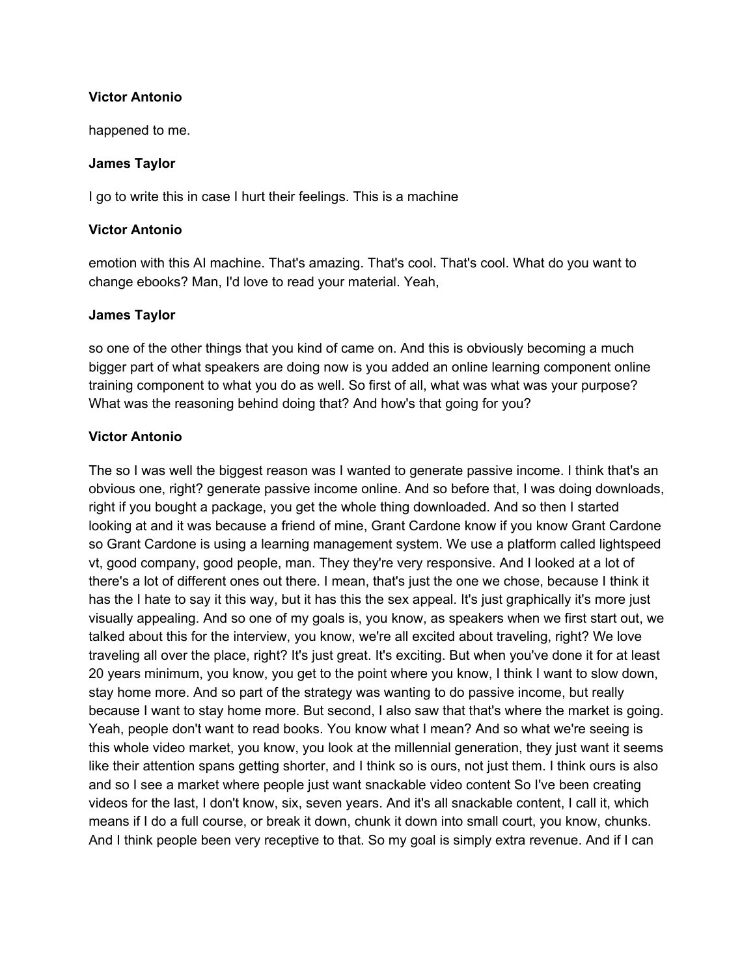### **Victor Antonio**

happened to me.

### **James Taylor**

I go to write this in case I hurt their feelings. This is a machine

### **Victor Antonio**

emotion with this AI machine. That's amazing. That's cool. That's cool. What do you want to change ebooks? Man, I'd love to read your material. Yeah,

### **James Taylor**

so one of the other things that you kind of came on. And this is obviously becoming a much bigger part of what speakers are doing now is you added an online learning component online training component to what you do as well. So first of all, what was what was your purpose? What was the reasoning behind doing that? And how's that going for you?

### **Victor Antonio**

The so I was well the biggest reason was I wanted to generate passive income. I think that's an obvious one, right? generate passive income online. And so before that, I was doing downloads, right if you bought a package, you get the whole thing downloaded. And so then I started looking at and it was because a friend of mine, Grant Cardone know if you know Grant Cardone so Grant Cardone is using a learning management system. We use a platform called lightspeed vt, good company, good people, man. They they're very responsive. And I looked at a lot of there's a lot of different ones out there. I mean, that's just the one we chose, because I think it has the I hate to say it this way, but it has this the sex appeal. It's just graphically it's more just visually appealing. And so one of my goals is, you know, as speakers when we first start out, we talked about this for the interview, you know, we're all excited about traveling, right? We love traveling all over the place, right? It's just great. It's exciting. But when you've done it for at least 20 years minimum, you know, you get to the point where you know, I think I want to slow down, stay home more. And so part of the strategy was wanting to do passive income, but really because I want to stay home more. But second, I also saw that that's where the market is going. Yeah, people don't want to read books. You know what I mean? And so what we're seeing is this whole video market, you know, you look at the millennial generation, they just want it seems like their attention spans getting shorter, and I think so is ours, not just them. I think ours is also and so I see a market where people just want snackable video content So I've been creating videos for the last, I don't know, six, seven years. And it's all snackable content, I call it, which means if I do a full course, or break it down, chunk it down into small court, you know, chunks. And I think people been very receptive to that. So my goal is simply extra revenue. And if I can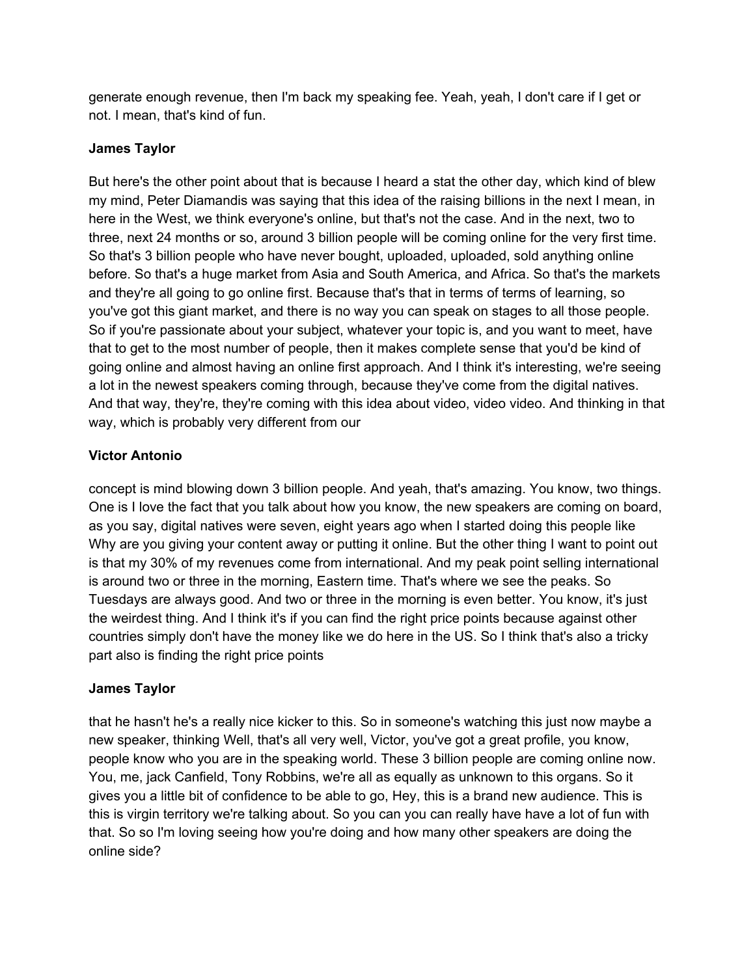generate enough revenue, then I'm back my speaking fee. Yeah, yeah, I don't care if I get or not. I mean, that's kind of fun.

### **James Taylor**

But here's the other point about that is because I heard a stat the other day, which kind of blew my mind, Peter Diamandis was saying that this idea of the raising billions in the next I mean, in here in the West, we think everyone's online, but that's not the case. And in the next, two to three, next 24 months or so, around 3 billion people will be coming online for the very first time. So that's 3 billion people who have never bought, uploaded, uploaded, sold anything online before. So that's a huge market from Asia and South America, and Africa. So that's the markets and they're all going to go online first. Because that's that in terms of terms of learning, so you've got this giant market, and there is no way you can speak on stages to all those people. So if you're passionate about your subject, whatever your topic is, and you want to meet, have that to get to the most number of people, then it makes complete sense that you'd be kind of going online and almost having an online first approach. And I think it's interesting, we're seeing a lot in the newest speakers coming through, because they've come from the digital natives. And that way, they're, they're coming with this idea about video, video video. And thinking in that way, which is probably very different from our

# **Victor Antonio**

concept is mind blowing down 3 billion people. And yeah, that's amazing. You know, two things. One is I love the fact that you talk about how you know, the new speakers are coming on board, as you say, digital natives were seven, eight years ago when I started doing this people like Why are you giving your content away or putting it online. But the other thing I want to point out is that my 30% of my revenues come from international. And my peak point selling international is around two or three in the morning, Eastern time. That's where we see the peaks. So Tuesdays are always good. And two or three in the morning is even better. You know, it's just the weirdest thing. And I think it's if you can find the right price points because against other countries simply don't have the money like we do here in the US. So I think that's also a tricky part also is finding the right price points

# **James Taylor**

that he hasn't he's a really nice kicker to this. So in someone's watching this just now maybe a new speaker, thinking Well, that's all very well, Victor, you've got a great profile, you know, people know who you are in the speaking world. These 3 billion people are coming online now. You, me, jack Canfield, Tony Robbins, we're all as equally as unknown to this organs. So it gives you a little bit of confidence to be able to go, Hey, this is a brand new audience. This is this is virgin territory we're talking about. So you can you can really have have a lot of fun with that. So so I'm loving seeing how you're doing and how many other speakers are doing the online side?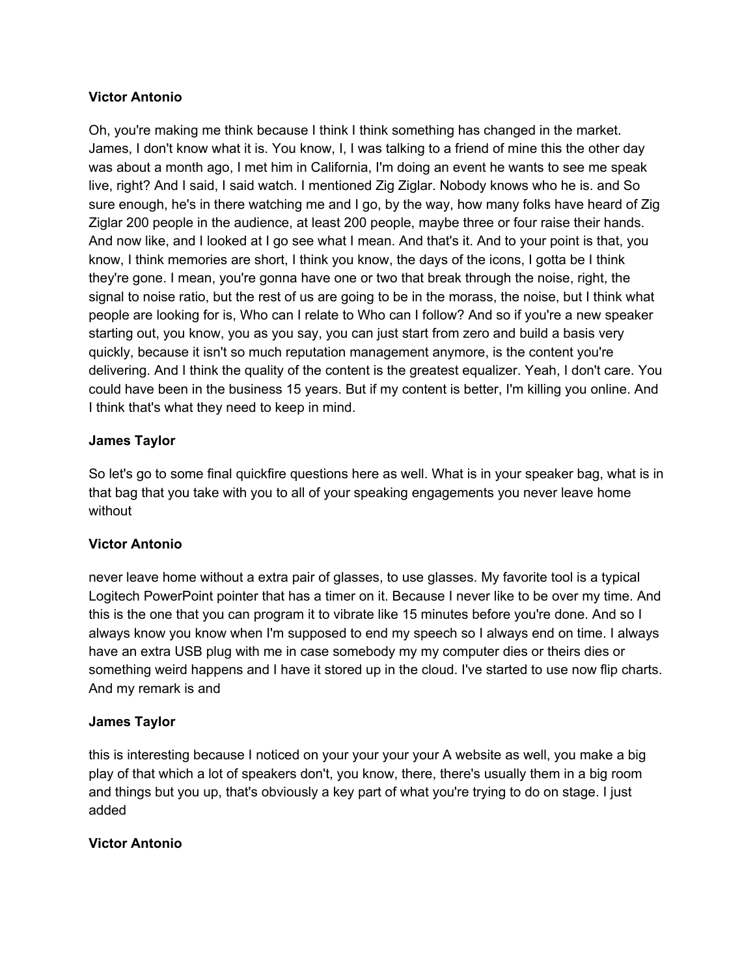### **Victor Antonio**

Oh, you're making me think because I think I think something has changed in the market. James, I don't know what it is. You know, I, I was talking to a friend of mine this the other day was about a month ago, I met him in California, I'm doing an event he wants to see me speak live, right? And I said, I said watch. I mentioned Zig Ziglar. Nobody knows who he is. and So sure enough, he's in there watching me and I go, by the way, how many folks have heard of Zig Ziglar 200 people in the audience, at least 200 people, maybe three or four raise their hands. And now like, and I looked at I go see what I mean. And that's it. And to your point is that, you know, I think memories are short, I think you know, the days of the icons, I gotta be I think they're gone. I mean, you're gonna have one or two that break through the noise, right, the signal to noise ratio, but the rest of us are going to be in the morass, the noise, but I think what people are looking for is, Who can I relate to Who can I follow? And so if you're a new speaker starting out, you know, you as you say, you can just start from zero and build a basis very quickly, because it isn't so much reputation management anymore, is the content you're delivering. And I think the quality of the content is the greatest equalizer. Yeah, I don't care. You could have been in the business 15 years. But if my content is better, I'm killing you online. And I think that's what they need to keep in mind.

### **James Taylor**

So let's go to some final quickfire questions here as well. What is in your speaker bag, what is in that bag that you take with you to all of your speaking engagements you never leave home without

### **Victor Antonio**

never leave home without a extra pair of glasses, to use glasses. My favorite tool is a typical Logitech PowerPoint pointer that has a timer on it. Because I never like to be over my time. And this is the one that you can program it to vibrate like 15 minutes before you're done. And so I always know you know when I'm supposed to end my speech so I always end on time. I always have an extra USB plug with me in case somebody my my computer dies or theirs dies or something weird happens and I have it stored up in the cloud. I've started to use now flip charts. And my remark is and

### **James Taylor**

this is interesting because I noticed on your your your your A website as well, you make a big play of that which a lot of speakers don't, you know, there, there's usually them in a big room and things but you up, that's obviously a key part of what you're trying to do on stage. I just added

### **Victor Antonio**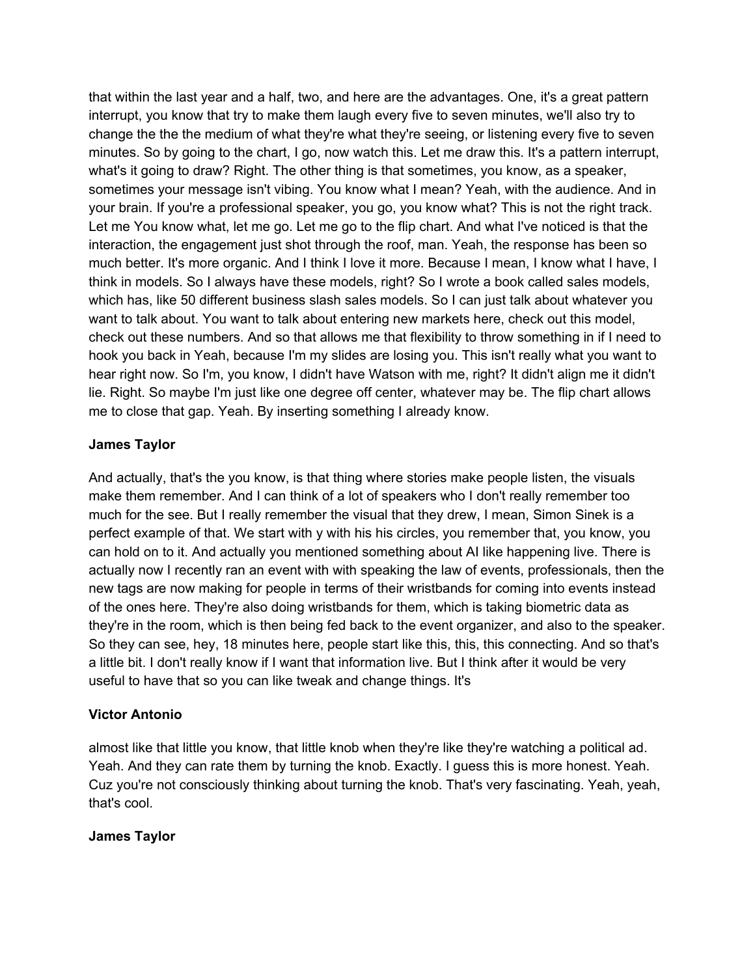that within the last year and a half, two, and here are the advantages. One, it's a great pattern interrupt, you know that try to make them laugh every five to seven minutes, we'll also try to change the the the medium of what they're what they're seeing, or listening every five to seven minutes. So by going to the chart, I go, now watch this. Let me draw this. It's a pattern interrupt, what's it going to draw? Right. The other thing is that sometimes, you know, as a speaker, sometimes your message isn't vibing. You know what I mean? Yeah, with the audience. And in your brain. If you're a professional speaker, you go, you know what? This is not the right track. Let me You know what, let me go. Let me go to the flip chart. And what I've noticed is that the interaction, the engagement just shot through the roof, man. Yeah, the response has been so much better. It's more organic. And I think I love it more. Because I mean, I know what I have, I think in models. So I always have these models, right? So I wrote a book called sales models, which has, like 50 different business slash sales models. So I can just talk about whatever you want to talk about. You want to talk about entering new markets here, check out this model, check out these numbers. And so that allows me that flexibility to throw something in if I need to hook you back in Yeah, because I'm my slides are losing you. This isn't really what you want to hear right now. So I'm, you know, I didn't have Watson with me, right? It didn't align me it didn't lie. Right. So maybe I'm just like one degree off center, whatever may be. The flip chart allows me to close that gap. Yeah. By inserting something I already know.

### **James Taylor**

And actually, that's the you know, is that thing where stories make people listen, the visuals make them remember. And I can think of a lot of speakers who I don't really remember too much for the see. But I really remember the visual that they drew, I mean, Simon Sinek is a perfect example of that. We start with y with his his circles, you remember that, you know, you can hold on to it. And actually you mentioned something about AI like happening live. There is actually now I recently ran an event with with speaking the law of events, professionals, then the new tags are now making for people in terms of their wristbands for coming into events instead of the ones here. They're also doing wristbands for them, which is taking biometric data as they're in the room, which is then being fed back to the event organizer, and also to the speaker. So they can see, hey, 18 minutes here, people start like this, this, this connecting. And so that's a little bit. I don't really know if I want that information live. But I think after it would be very useful to have that so you can like tweak and change things. It's

### **Victor Antonio**

almost like that little you know, that little knob when they're like they're watching a political ad. Yeah. And they can rate them by turning the knob. Exactly. I guess this is more honest. Yeah. Cuz you're not consciously thinking about turning the knob. That's very fascinating. Yeah, yeah, that's cool.

### **James Taylor**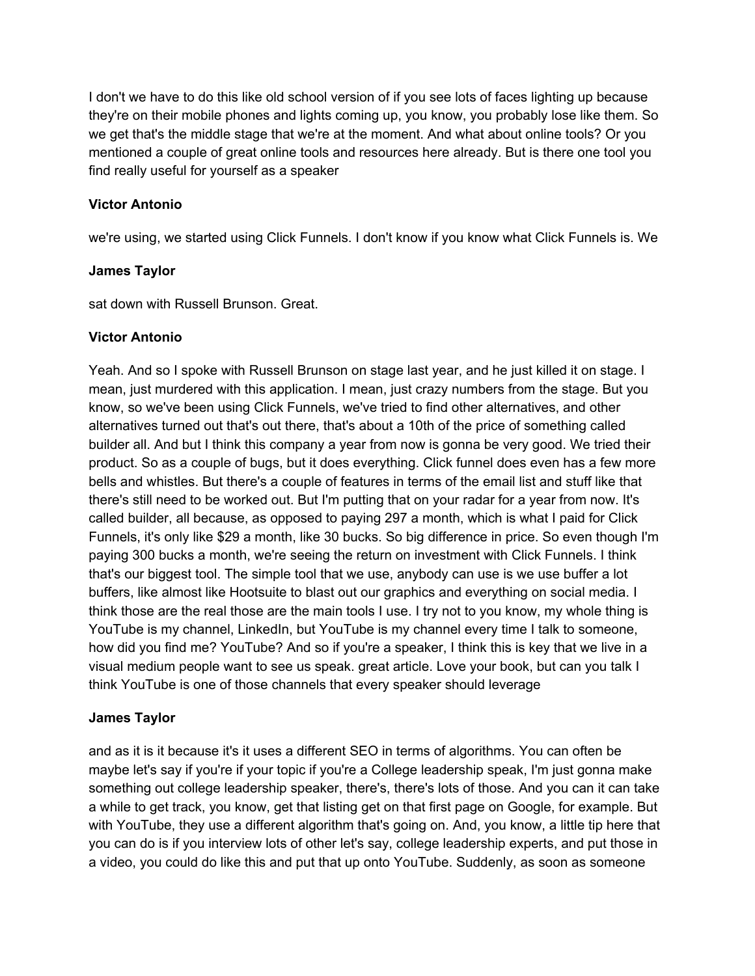I don't we have to do this like old school version of if you see lots of faces lighting up because they're on their mobile phones and lights coming up, you know, you probably lose like them. So we get that's the middle stage that we're at the moment. And what about online tools? Or you mentioned a couple of great online tools and resources here already. But is there one tool you find really useful for yourself as a speaker

### **Victor Antonio**

we're using, we started using Click Funnels. I don't know if you know what Click Funnels is. We

### **James Taylor**

sat down with Russell Brunson. Great.

### **Victor Antonio**

Yeah. And so I spoke with Russell Brunson on stage last year, and he just killed it on stage. I mean, just murdered with this application. I mean, just crazy numbers from the stage. But you know, so we've been using Click Funnels, we've tried to find other alternatives, and other alternatives turned out that's out there, that's about a 10th of the price of something called builder all. And but I think this company a year from now is gonna be very good. We tried their product. So as a couple of bugs, but it does everything. Click funnel does even has a few more bells and whistles. But there's a couple of features in terms of the email list and stuff like that there's still need to be worked out. But I'm putting that on your radar for a year from now. It's called builder, all because, as opposed to paying 297 a month, which is what I paid for Click Funnels, it's only like \$29 a month, like 30 bucks. So big difference in price. So even though I'm paying 300 bucks a month, we're seeing the return on investment with Click Funnels. I think that's our biggest tool. The simple tool that we use, anybody can use is we use buffer a lot buffers, like almost like Hootsuite to blast out our graphics and everything on social media. I think those are the real those are the main tools I use. I try not to you know, my whole thing is YouTube is my channel, LinkedIn, but YouTube is my channel every time I talk to someone, how did you find me? YouTube? And so if you're a speaker, I think this is key that we live in a visual medium people want to see us speak. great article. Love your book, but can you talk I think YouTube is one of those channels that every speaker should leverage

### **James Taylor**

and as it is it because it's it uses a different SEO in terms of algorithms. You can often be maybe let's say if you're if your topic if you're a College leadership speak, I'm just gonna make something out college leadership speaker, there's, there's lots of those. And you can it can take a while to get track, you know, get that listing get on that first page on Google, for example. But with YouTube, they use a different algorithm that's going on. And, you know, a little tip here that you can do is if you interview lots of other let's say, college leadership experts, and put those in a video, you could do like this and put that up onto YouTube. Suddenly, as soon as someone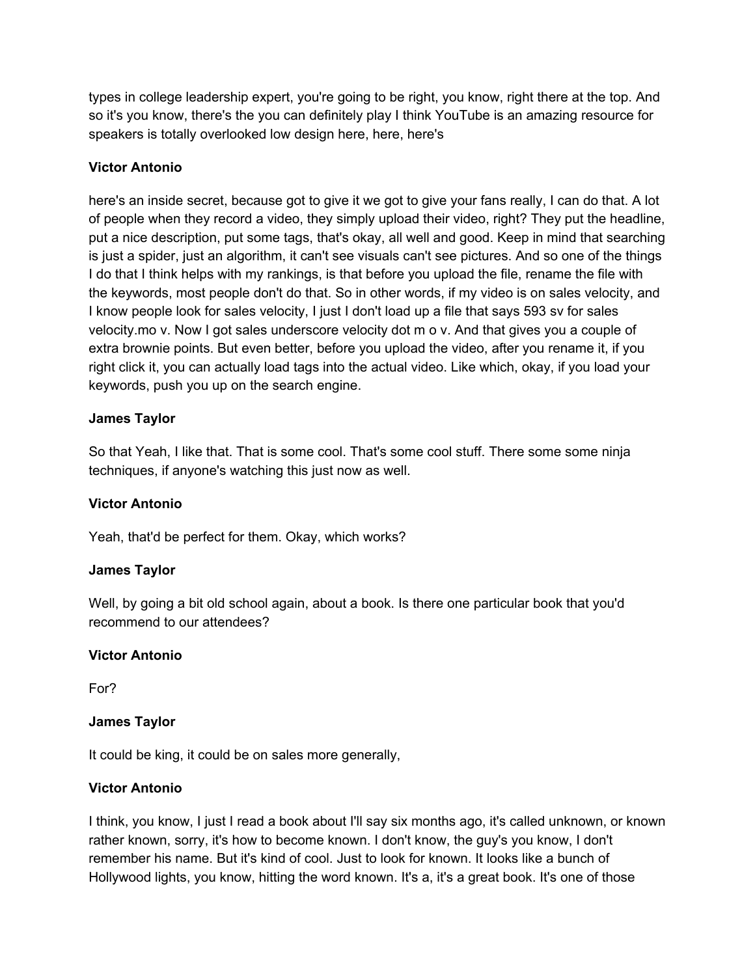types in college leadership expert, you're going to be right, you know, right there at the top. And so it's you know, there's the you can definitely play I think YouTube is an amazing resource for speakers is totally overlooked low design here, here, here's

### **Victor Antonio**

here's an inside secret, because got to give it we got to give your fans really, I can do that. A lot of people when they record a video, they simply upload their video, right? They put the headline, put a nice description, put some tags, that's okay, all well and good. Keep in mind that searching is just a spider, just an algorithm, it can't see visuals can't see pictures. And so one of the things I do that I think helps with my rankings, is that before you upload the file, rename the file with the keywords, most people don't do that. So in other words, if my video is on sales velocity, and I know people look for sales velocity, I just I don't load up a file that says 593 sv for sales velocity.mo v. Now I got sales underscore velocity dot m o v. And that gives you a couple of extra brownie points. But even better, before you upload the video, after you rename it, if you right click it, you can actually load tags into the actual video. Like which, okay, if you load your keywords, push you up on the search engine.

### **James Taylor**

So that Yeah, I like that. That is some cool. That's some cool stuff. There some some ninja techniques, if anyone's watching this just now as well.

### **Victor Antonio**

Yeah, that'd be perfect for them. Okay, which works?

### **James Taylor**

Well, by going a bit old school again, about a book. Is there one particular book that you'd recommend to our attendees?

### **Victor Antonio**

For?

# **James Taylor**

It could be king, it could be on sales more generally,

### **Victor Antonio**

I think, you know, I just I read a book about I'll say six months ago, it's called unknown, or known rather known, sorry, it's how to become known. I don't know, the guy's you know, I don't remember his name. But it's kind of cool. Just to look for known. It looks like a bunch of Hollywood lights, you know, hitting the word known. It's a, it's a great book. It's one of those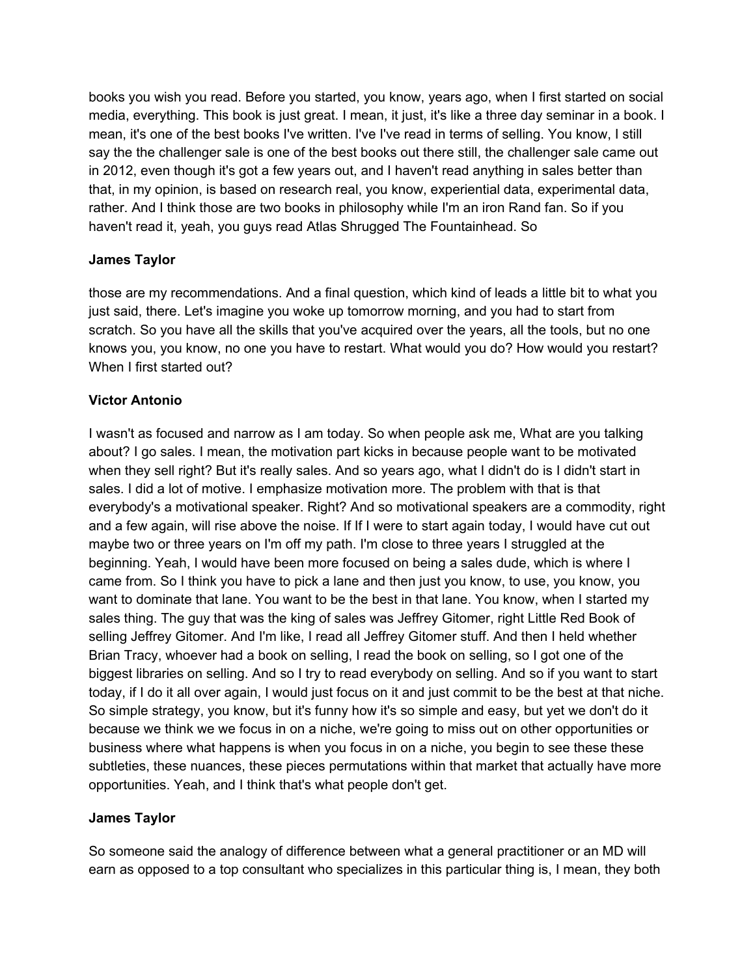books you wish you read. Before you started, you know, years ago, when I first started on social media, everything. This book is just great. I mean, it just, it's like a three day seminar in a book. I mean, it's one of the best books I've written. I've I've read in terms of selling. You know, I still say the the challenger sale is one of the best books out there still, the challenger sale came out in 2012, even though it's got a few years out, and I haven't read anything in sales better than that, in my opinion, is based on research real, you know, experiential data, experimental data, rather. And I think those are two books in philosophy while I'm an iron Rand fan. So if you haven't read it, yeah, you guys read Atlas Shrugged The Fountainhead. So

### **James Taylor**

those are my recommendations. And a final question, which kind of leads a little bit to what you just said, there. Let's imagine you woke up tomorrow morning, and you had to start from scratch. So you have all the skills that you've acquired over the years, all the tools, but no one knows you, you know, no one you have to restart. What would you do? How would you restart? When I first started out?

### **Victor Antonio**

I wasn't as focused and narrow as I am today. So when people ask me, What are you talking about? I go sales. I mean, the motivation part kicks in because people want to be motivated when they sell right? But it's really sales. And so years ago, what I didn't do is I didn't start in sales. I did a lot of motive. I emphasize motivation more. The problem with that is that everybody's a motivational speaker. Right? And so motivational speakers are a commodity, right and a few again, will rise above the noise. If If I were to start again today, I would have cut out maybe two or three years on I'm off my path. I'm close to three years I struggled at the beginning. Yeah, I would have been more focused on being a sales dude, which is where I came from. So I think you have to pick a lane and then just you know, to use, you know, you want to dominate that lane. You want to be the best in that lane. You know, when I started my sales thing. The guy that was the king of sales was Jeffrey Gitomer, right Little Red Book of selling Jeffrey Gitomer. And I'm like, I read all Jeffrey Gitomer stuff. And then I held whether Brian Tracy, whoever had a book on selling, I read the book on selling, so I got one of the biggest libraries on selling. And so I try to read everybody on selling. And so if you want to start today, if I do it all over again, I would just focus on it and just commit to be the best at that niche. So simple strategy, you know, but it's funny how it's so simple and easy, but yet we don't do it because we think we we focus in on a niche, we're going to miss out on other opportunities or business where what happens is when you focus in on a niche, you begin to see these these subtleties, these nuances, these pieces permutations within that market that actually have more opportunities. Yeah, and I think that's what people don't get.

### **James Taylor**

So someone said the analogy of difference between what a general practitioner or an MD will earn as opposed to a top consultant who specializes in this particular thing is, I mean, they both